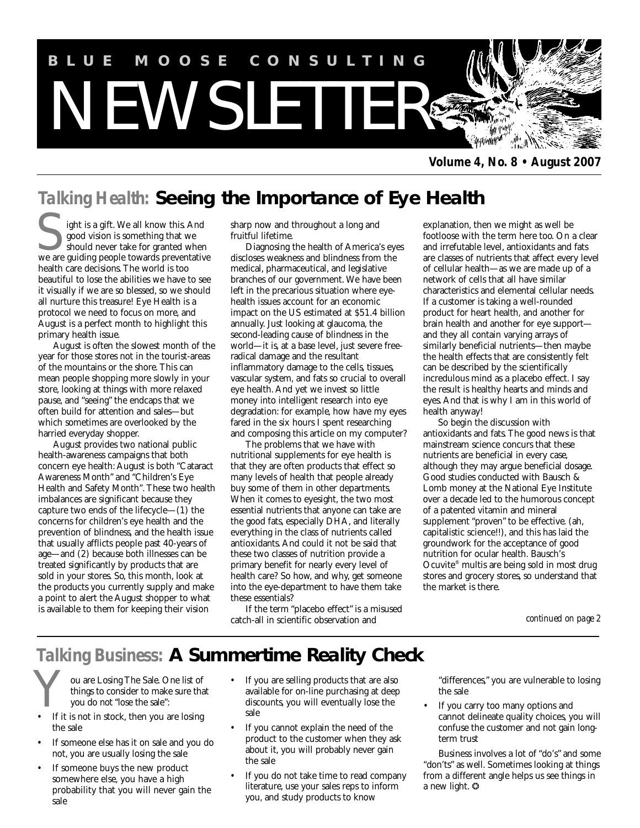

*Volume 4, No. 8 • August 2007*

# *Talking Health:* **Seeing the Importance of Eye Health**

ight is a gift. We all know this. And good vision is something that we should never take for granted when **Solution** is a gift. We all know this. And good vision is something that we should never take for granted when we are guiding people towards preventative health care decisions. The world is too beautiful to lose the abilities we have to see it visually if we are so blessed, so we should all nurture this treasure! Eye Health is a protocol we need to focus on more, and August is a perfect month to highlight this primary health issue.

August is often the slowest month of the year for those stores not in the tourist-areas of the mountains or the shore. This can mean people shopping more slowly in your store, looking at things with more relaxed pause, and "seeing" the endcaps that we often build for attention and sales—but which sometimes are overlooked by the harried everyday shopper.

August provides two national public health-awareness campaigns that both concern eye health: August is both "Cataract Awareness Month" and "Children's Eye Health and Safety Month". These two health imbalances are significant because they capture two ends of the lifecycle—(1) the concerns for children's eye health and the prevention of blindness, and the health issue that usually afflicts people past 40-years of age—and (2) because both illnesses can be treated significantly by products that are sold in your stores. So, this month, look at the products you currently supply and make a point to alert the August shopper to what is available to them for keeping their vision

sharp now and throughout a long and fruitful lifetime.

Diagnosing the health of America's eyes discloses weakness and blindness from the medical, pharmaceutical, and legislative branches of our government. We have been left in the precarious situation where eyehealth issues account for an economic impact on the US estimated at \$51.4 billion annually. Just looking at glaucoma, the second-leading cause of blindness in the world—it is, at a base level, just severe freeradical damage and the resultant inflammatory damage to the cells, tissues, vascular system, and fats so crucial to overall eye health. And yet we invest so little money into intelligent research into eye degradation: for example, how have my eyes fared in the six hours I spent researching and composing this article on my computer?

The problems that we have with nutritional supplements for eye health is that they are often products that effect so many levels of health that people already buy some of them in other departments. When it comes to eyesight, the two most essential nutrients that anyone can take are the good fats, especially DHA, and literally everything in the class of nutrients called antioxidants. And could it not be said that these two classes of nutrition provide a primary benefit for nearly every level of health care? So how, and why, get someone into the eye-department to have them take these essentials?

If the term "placebo effect" is a misused catch-all in scientific observation and

explanation, then we might as well be footloose with the term here too. On a clear and irrefutable level, antioxidants and fats are classes of nutrients that affect every level of cellular health—as we are made up of a network of cells that all have similar characteristics and elemental cellular needs. If a customer is taking a well-rounded product for heart health, and another for brain health and another for eye support and they all contain varying arrays of similarly beneficial nutrients—then maybe the health effects that are consistently felt can be described by the scientifically incredulous mind as a placebo effect. I say the result is healthy hearts and minds and eyes. And that is why I am in this world of health anyway!

So begin the discussion with antioxidants and fats. The good news is that mainstream science concurs that these nutrients are beneficial in every case, although they may argue beneficial dosage. Good studies conducted with Bausch & Lomb money at the National Eye Institute over a decade led to the humorous concept of a patented vitamin and mineral supplement "proven" to be effective. (ah, capitalistic science!!), and this has laid the groundwork for the acceptance of good nutrition for ocular health. Bausch's Ocuvite® multis are being sold in most drug stores and grocery stores, so understand that the market is there.

*continued on page 2*

# *Talking Business:* **A Summertime Reality Check**

ou are Losing The Sale. One list of things to consider to make sure that you do not "lose the sale": Y<br>. "

- If it is not in stock, then you are losing the sale
- If someone else has it on sale and you do not, you are usually losing the sale
- If someone buys the new product somewhere else, you have a high probability that you will never gain the sale
- If you are selling products that are also available for on-line purchasing at deep discounts, you will eventually lose the sale
- If you cannot explain the need of the product to the customer when they ask about it, you will probably never gain the sale
- If you do not take time to read company literature, use your sales reps to inform you, and study products to know

"differences," you are vulnerable to losing the sale

If you carry too many options and cannot delineate quality choices, you will confuse the customer and not gain longterm trust

Business involves a lot of "do's" and some "don'ts" as well. Sometimes looking at things from a different angle helps us see things in a new light. ❂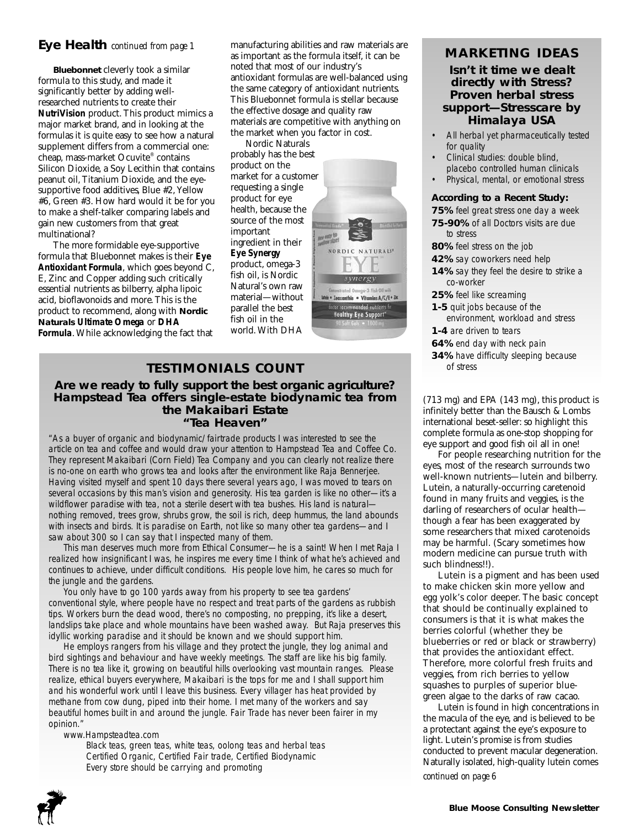# **Eye Health** *continued from page 1*

**Bluebonnet** cleverly took a similar formula to this study, and made it significantly better by adding wellresearched nutrients to create their *NutriVision* product. This product mimics a major market brand, and in looking at the formulas it is quite easy to see how a natural supplement differs from a commercial one: cheap, mass-market Ocuvite® contains Silicon Dioxide, a Soy Lecithin that contains peanut oil, Titanium Dioxide, and the eyesupportive food additives, Blue #2, Yellow #6, Green #3. How hard would it be for you to make a shelf-talker comparing labels and gain new customers from that great multinational?

The more formidable eye-supportive formula that Bluebonnet makes is their *Eye Antioxidant Formula*, which goes beyond C, E, Zinc and Copper adding such critically essential nutrients as bilberry, alpha lipoic acid, bioflavonoids and more. This is the product to recommend, along with **Nordic Naturals** *Ultimate Omega* or *DHA Formula*. While acknowledging the fact that

manufacturing abilities and raw materials are as important as the formula itself, it can be noted that most of our industry's antioxidant formulas are well-balanced using the same category of antioxidant nutrients. This Bluebonnet formula is stellar because the effective dosage and quality raw materials are competitive with anything on the market when you factor in cost.

Nordic Naturals probably has the best product on the market for a customer requesting a single product for eye health, because the source of the most important ingredient in their *Eye Synergy* product, omega-3 fish oil, is Nordic Natural's own raw material—without parallel the best fish oil in the world. With DHA



# **TESTIMONIALS COUNT**

## **Are we ready to fully support the best organic agriculture? Hampstead Tea offers single-estate biodynamic tea from the Makaibari Estate "Tea Heaven"**

"As a buyer of organic and biodynamic/fairtrade products I was interested to see the article on tea and coffee and would draw your attention to Hampstead Tea and Coffee Co. They represent Makaibari (Corn Field) Tea Company and you can clearly not realize there is no-one on earth who grows tea and looks after the environment like Raja Bennerjee. Having visited myself and spent 10 days there several years ago, I was moved to tears on several occasions by this man's vision and generosity. His tea garden is like no other-it's a wildflower paradise with tea, not a sterile desert with tea bushes. His land is natural nothing removed, trees grow, shrubs grow, the soil is rich, deep hummus, the land abounds with insects and birds. It is paradise on Earth, not like so many other tea gardens—and I saw about 300 so I can say that I inspected many of them.

This man deserves much more from Ethical Consumer—he is a saint! When I met Raja I realized how insignificant I was, he inspires me every time I think of what he's achieved and continues to achieve, under difficult conditions. His people love him, he cares so much for the jungle and the gardens.

You only have to go 100 yards away from his property to see tea gardens' conventional style, where people have no respect and treat parts of the gardens as rubbish tips. Workers burn the dead wood, there's no composting, no prepping, it's like a desert, landslips take place and whole mountains have been washed away. But Raja preserves this idyllic working paradise and it should be known and we should support him.

He employs rangers from his village and they protect the jungle, they log animal and bird sightings and behaviour and have weekly meetings. The staff are like his big family. There is no tea like it, growing on beautiful hills overlooking vast mountain ranges. Please realize, ethical buyers everywhere, Makaibari is the tops for me and I shall support him and his wonderful work until I leave this business. Every villager has heat provided by methane from cow dung, piped into their home. I met many of the workers and say beautiful homes built in and around the jungle. Fair Trade has never been fairer in my opinion."

www.Hampsteadtea.com

Black teas, green teas, white teas, oolong teas and herbal teas Certified Organic, Certified Fair trade, Certified Biodynamic Every store should be carrying and promoting



# **MARKETING IDEAS**

**Isn't it time we dealt directly with Stress? Proven herbal stress support—Stresscare by Himalaya USA**

- All herbal yet pharmaceutically tested for quality
- Clinical studies: double blind, placebo controlled human clinicals
- Physical, mental, or emotional stress

#### **According to a Recent Study:**

- **75%** feel great stress one day a week
- **75-90%** of all Doctors visits are due to stress
- **80%** feel stress on the job
- **42%** say coworkers need help
- 14% say they feel the desire to strike a co-worker
- **25%** feel like screaming
- **1-5** quit jobs because of the environment, workload and stress
- **1-4** are driven to tears
- **64%** end day with neck pain
- **34%** have difficulty sleeping because of stress

(713 mg) and EPA (143 mg), this product is infinitely better than the Bausch & Lombs international beset-seller: so highlight this complete formula as one-stop shopping for eye support and good fish oil all in one!

For people researching nutrition for the eyes, most of the research surrounds two well-known nutrients—lutein and bilberry. Lutein, a naturally-occurring caretenoid found in many fruits and veggies, is the darling of researchers of ocular health though a fear has been exaggerated by some researchers that mixed carotenoids may be harmful. (Scary sometimes how modern medicine can pursue truth with such blindness!!).

Lutein is a pigment and has been used to make chicken skin more yellow and egg yolk's color deeper. The basic concept that should be continually explained to consumers is that it is what makes the berries colorful (whether they be blueberries or red or black or strawberry) that provides the antioxidant effect. Therefore, more colorful fresh fruits and veggies, from rich berries to yellow squashes to purples of superior bluegreen algae to the darks of raw cacao.

Lutein is found in high concentrations in the macula of the eye, and is believed to be a protectant against the eye's exposure to light. Lutein's promise is from studies conducted to prevent macular degeneration. Naturally isolated, high-quality lutein comes *continued on page 6*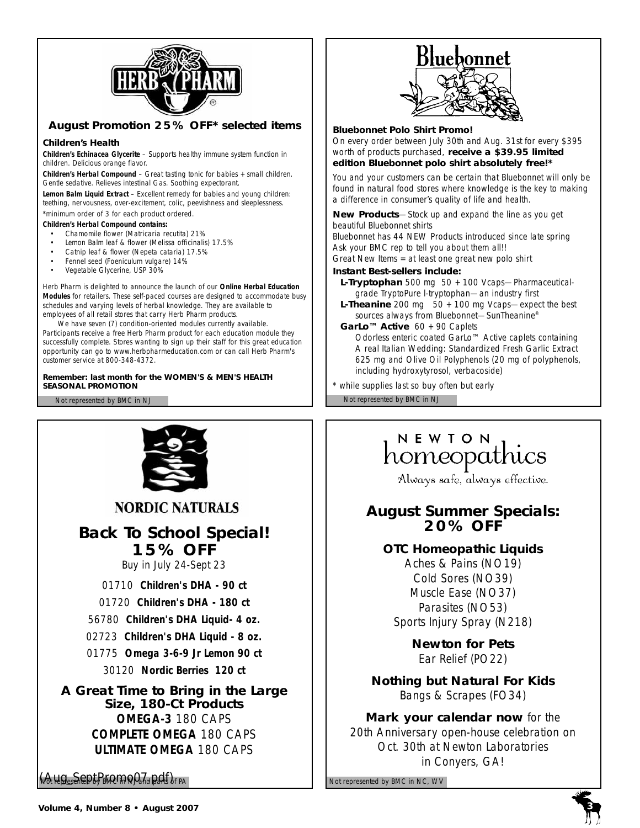

## **August Promotion 25% OFF\* selected items**

#### **Children's Health**

**Children's Echinacea Glycerite** – Supports healthy immune system function in children. Delicious orange flavor.

**Children's Herbal Compound** – Great tasting tonic for babies + small children. Gentle sedative. Relieves intestinal Gas. Soothing expectorant.

**Lemon Balm Liquid Extract** – Excellent remedy for babies and young children: teething, nervousness, over-excitement, colic, peevishness and sleeplessness. *\*minimum order of 3 for each product ordered.*

#### *Children's Herbal Compound contains:*

- Chamomile flower (Matricaria recutita) 21%
- Lemon Balm leaf & flower (Melissa officinalis) 17.5%
- Catnip leaf & flower (Nepeta cataria) 17.5%
- Fennel seed (Foeniculum vulgare) 14%
- Vegetable Glycerine, USP 30%

Herb Pharm is delighted to announce the launch of our *Online Herbal Education Modules* for retailers. These self-paced courses are designed to accommodate busy schedules and varying levels of herbal knowledge. They are available to employees of all retail stores that carry Herb Pharm products.

We have seven (7) condition-oriented modules currently available. Participants receive a free Herb Pharm product for each education module they successfully complete. Stores wanting to sign up their staff for this great education opportunity can go to www.herbpharmeducation.com or can call Herb Pharm's customer service at 800-348-4372.

**Remember: last month for the WOMEN'S & MEN'S HEALTH SEASONAL PROMOTION**



**NORDIC NATURALS** 

**Back To School Special! 15% OFF**

*Buy in July 24-Sept 23*

01710 **Children's DHA - 90 ct**

01720 **Children's DHA - 180 ct**

56780 **Children's DHA Liquid- 4 oz.**

- 02723 **Children's DHA Liquid 8 oz.**
- 01775 **Omega 3-6-9 Jr Lemon 90 ct** 30120 **Nordic Berries 120 ct**

**A Great Time to Bring in the Large**

**Size, 180-Ct Products OMEGA-3** 180 CAPS **COMPLETE OMEGA** 180 CAPS **ULTIMATE OMEGA** 180 CAPS

 $(Au)$  Not represented by BMC in NC, WV



#### **Bluebonnet Polo Shirt Promo!**

On every order between July 30th and Aug. 31st for every \$395 worth of products purchased, **receive a \$39.95 limited edition Bluebonnet polo shirt absolutely free!\***

You and your customers can be certain that Bluebonnet will only be found in natural food stores where knowledge is the key to making a difference in consumer's quality of life and health.

*New Products*—Stock up and expand the line as you get beautiful Bluebonnet shirts Bluebonnet has 44 NEW Products introduced since late spring

Ask your BMC rep to tell you about them all!! Great New Items = at least one great new polo shirt

#### **Instant Best-sellers include:**

**L-Tryptophan** 500 mg 50 + 100 Vcaps—Pharmaceuticalgrade TryptoPure l-tryptophan—an industry first

**L-Theanine** 200 mg 50 + 100 mg Vcaps—expect the best sources always from Bluebonnet—SunTheanine®

#### **GarLo™ Active** 60 + 90 Caplets

Odorless enteric coated GarLo™ Active caplets containing A real Italian Wedding: Standardized Fresh Garlic Extract 625 mg and Olive Oil Polyphenols (20 mg of polyphenols, including hydroxytyrosol, verbacoside)

*\* while supplies last so buy often but early*

Not represented by BMC in NJ Not represented by BMC in NJ

# NEWTON homeopathics

Always safe, always effective.

# **August Summer Specials: 20% OFF**

# **OTC Homeopathic Liquids**

Aches & Pains (NO19) Cold Sores (NO39) Muscle Ease (NO37) Parasites (NO53) Sports Injury Spray (N218)

> **Newton for Pets** Ear Relief (PO22)

**Nothing but Natural For Kids** Bangs & Scrapes (FO34)

*Mark your calendar now* for the 20th Anniversary open-house celebration on Oct. 30th at Newton Laboratories in Conyers, GA!

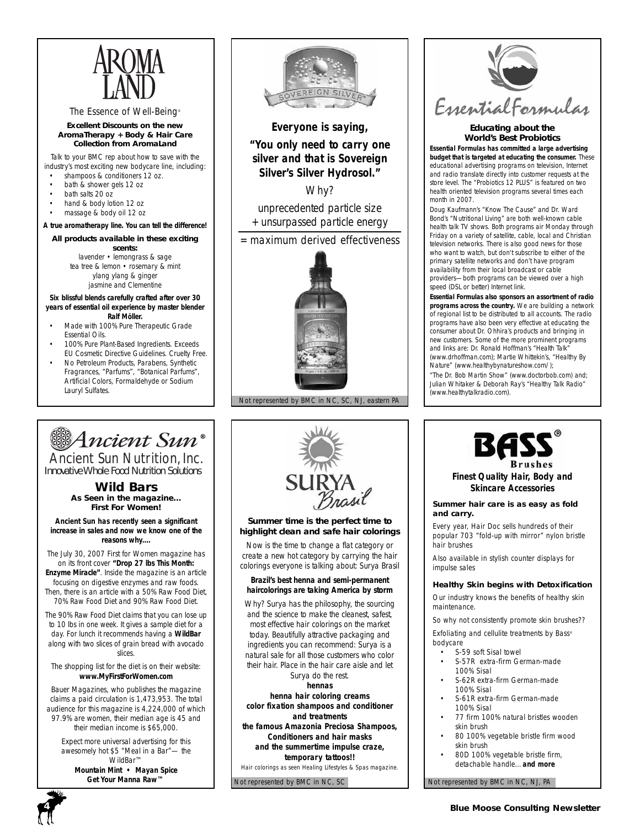

#### *The Essence of Well-Being®*

#### **Excellent Discounts on the new AromaTherapy + Body & Hair Care Collection from AromaLand**

Talk to your BMC rep about how to save with the industry's most exciting new bodycare line, including:

- shampoos & conditioners 12 oz.
- bath & shower gels 12 oz
- bath salts 20 oz
- hand & body lotion 12 oz
- massage & body oil 12 oz

#### *A true aromatherapy line. You can tell the difference!*

**All products available in these exciting scents:** lavender • lemongrass & sage tea tree & lemon • rosemary & mint ylang ylang & ginger jasmine and Clementine

#### **Six blissful blends carefully crafted after over 30 years of essential oil experience by master blender Ralf Möller.**

- Made with 100% Pure Therapeutic Grade Essential Oils.
- 100% Pure Plant-Based Ingredients. Exceeds EU Cosmetic Directive Guidelines. Cruelty Free.
- No Petroleum Products, Parabens, Synthetic Fragrances, "Parfums", "Botanical Parfums", Artificial Colors, Formaldehyde or Sodium Lauryl Sulfates.



*Everyone is saying,* **"You only need to carry one silver and that is Sovereign Silver's Silver Hydrosol."**

Why?

unprecedented particle size + unsurpassed particle energy

= maximum derived effectiveness



Not represented by BMC in NC, SC, NJ, eastern PA



*Innovative Whole Food Nutrition Solutions*

**Wild Bars As Seen in the magazine…** *First For Women!*

*Ancient Sun has recently seen a significant increase in sales and now we know one of the reasons why....*

The July 30, 2007 *First for Women* magazine has on its front cover **"Drop 27 lbs This Month:**

**Enzyme Miracle"**. Inside the magazine is an article focusing on digestive enzymes and raw foods.

Then, there is an article with a 50% Raw Food Diet, 70% Raw Food Diet and 90% Raw Food Diet.

The 90% Raw Food Diet claims that you can lose up to 10 lbs in one week. It gives a sample diet for a day. For lunch it recommends having a **WildBar** along with two slices of grain bread with avocado slices.

The shopping list for the diet is on their website: **www.MyFirstForWomen.com**

Bauer Magazines, who publishes the magazine claims a paid circulation is 1,473,953. The total audience for this magazine is 4,224,000 of which 97.9% are women, their median age is 45 and their median income is \$65,000.

Expect more universal advertising for this awesomely hot \$5 "Meal in a Bar"— the WildBar™

**Mountain Mint • Mayan Spice Get Your Manna Raw™**





#### **Summer time is the perfect time to highlight clean and safe hair colorings**

Now is the time to change a flat category or create a new hot category by carrying the hair colorings everyone is talking about: Surya Brasil

#### *Brazil's best henna and semi-permanent haircolorings are taking America by storm*

Why? Surya has the philosophy, the sourcing and the science to make the cleanest, safest, most effective hair colorings on the market today. Beautifully attractive packaging and ingredients you can recommend: Surya is a natural sale for all those customers who color their hair. Place in the hair care aisle and let Surya do the rest.

*hennas*

*henna hair coloring creams color fixation shampoos and conditioner and treatments the famous Amazonia Preciosa Shampoos, Conditioners and hair masks and the summertime impulse craze, temporary tattoos!! Hair colorings as seen Healing Lifestyles & Spas magazine.*

Not represented by BMC in NC, SC



#### **Educating about the World's Best Probiotics**

**Essential Formulas has committed a large advertising budget that is targeted at educating the consumer.** These educational advertising programs on television, Internet and radio translate directly into customer requests at the store level. The "Probiotics 12 PLUS" is featured on two health oriented television programs several times each month in 2007.

Doug Kaufmann's "Know The Cause" and Dr. Ward Bond's "Nutritional Living" are both well-known cable health talk TV shows. Both programs air Monday through Friday on a variety of satellite, cable, local and Christian television networks. There is also good news for those who want to watch, but don't subscribe to either of the primary satellite networks and don't have program availability from their local broadcast or cable providers—both programs can be viewed over a high speed (DSL or better) Internet link.

**Essential Formulas also sponsors an assortment of radio programs across the country.** We are building a network of regional list to be distributed to all accounts. The radio programs have also been very effective at educating the consumer about Dr. Ohhira's products and bringing in new customers. Some of the more prominent programs and links are: Dr. Ronald Hoffman's "Health Talk" (www.drhoffman.com); Martie Whittekin's, "Healthy By Nature" (www.healthybynatureshow.com/);

"The Dr. Bob Martin Show" (www.doctorbob.com) and; Julian Whitaker & Deborah Ray's "Healthy Talk Radio" (www.healthytalkradio.com).



# *Finest Quality Hair, Body and Skincare Accessories*

#### **Summer hair care is as easy as fold and carry.**

Every year, Hair Doc sells hundreds of their popular 703 "fold-up with mirror" nylon bristle hair brushes

Also available in stylish counter displays for impulse sales

#### **Healthy Skin begins with Detoxification**

Our industry knows the benefits of healthy skin maintenance.

So why not consistently promote skin brushes?? Exfoliating and cellulite treatments by Bass® bodycare

- S-59 soft Sisal towel
- S-57R extra-firm German-made 100% Sisal
- S-62R extra-firm German-made 100% Sisal
- S-61R extra-firm German-made 100% Sisal
- 77 firm 100% natural bristles wooden skin brush
- 80 100% vegetable bristle firm wood skin brush
- 80D 100% vegetable bristle firm, detachable handle…*and more*

Not represented by BMC in NC, NJ, PA

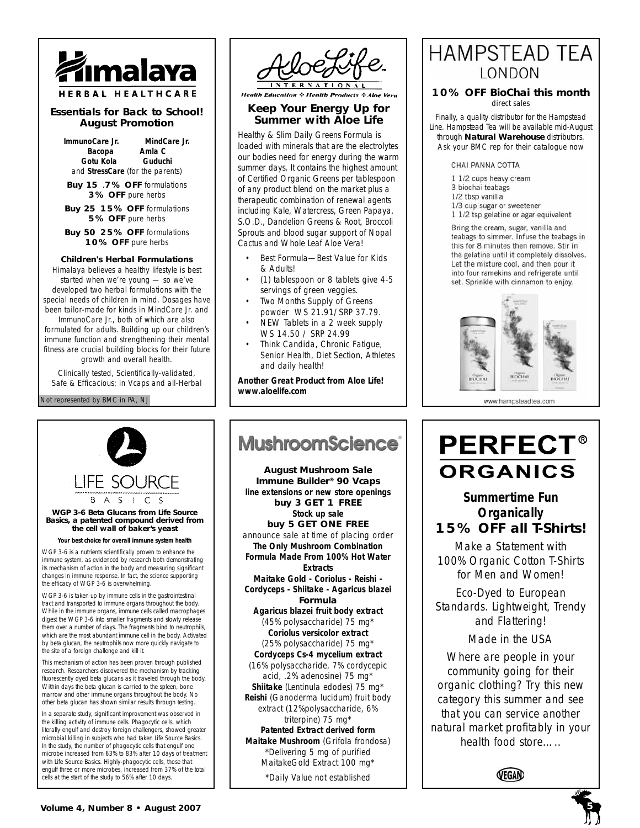

#### **Essentials for Back to School! August Promotion**

**ImmunoCare Jr. MindCare Jr. Bacopa Amla C** Gotu Kola and **StressCare** (for the parents)

**Buy 15** .**7% OFF** formulations **3% OFF** pure herbs

**Buy 25 15% OFF** formulations **5% OFF** pure herbs

**Buy 50 25% OFF** formulations **10% OFF** pure herbs

#### **Children's Herbal Formulations**

Himalaya believes a healthy lifestyle is best started when we're young — so we've developed two herbal formulations with the special needs of children in mind. Dosages have been tailor-made for kinds in MindCare Jr. and

ImmunoCare Jr., both of which are also formulated for adults. Building up our children's immune function and strengthening their mental fitness are crucial building blocks for their future growth and overall health.

Clinically tested, Scientifically-validated, Safe & Efficacious; in Vcaps and all-Herbal

#### Not represented by BMC in PA, NJ



**WGP 3-6 Beta Glucans from Life Source Basics, a patented compound derived from the cell wall of baker's yeast**

*Your best choice for overall immune system health*

WGP 3-6 is a nutrients scientifically proven to enhance the immune system, as evidenced by research both demonstrating its mechanism of action in the body and measuring significant changes in immune response. In fact, the science supporting the efficacy of WGP 3-6 is overwhelming.

WGP 3-6 is taken up by immune cells in the gastrointestinal tract and transported to immune organs throughout the body. While in the immune organs, immune cells called macrophages digest the WGP 3-6 into smaller fragments and slowly release them over a number of days. The fragments bind to neutrophils, which are the most abundant immune cell in the body. Activated by beta glucan, the neutrophils now more quickly navigate to the site of a foreign challenge and kill it.

This mechanism of action has been proven through published research. Researchers discovered the mechanism by tracking fluorescently dyed beta glucans as it traveled through the body. Within days the beta glucan is carried to the spleen, bone marrow and other immune organs throughout the body. No other beta glucan has shown similar results through testing.

In a separate study, significant improvement was observed in the killing activity of immune cells. Phagocytic cells, which literally engulf and destroy foreign challengers, showed greater microbial killing in subjects who had taken Life Source Basics. In the study, the number of phagocytic cells that engulf one microbe increased from 63% to 83% after 10 days of treatment with Life Source Basics. Highly-phagocytic cells, those that engulf three or more microbes, increased from 37% of the total cells at the start of the study to 56% after 10 days.

**Health Education & Health Products & Aloe Vera** 

#### **Keep Your Energy Up for Summer with Aloe Life**

Healthy & Slim Daily Greens Formula is loaded with minerals that are the electrolytes our bodies need for energy during the warm summer days. It contains the highest amount of Certified Organic Greens per tablespoon of any product blend on the market plus a therapeutic combination of renewal agents including Kale, Watercress, Green Papaya, S.O.D., Dandelion Greens & Root, Broccoli Sprouts and blood sugar support of Nopal Cactus and Whole Leaf Aloe Vera!

- Best Formula—Best Value for Kids & Adults!
- (1) tablespoon or 8 tablets give 4-5 servings of green veggies.
- Two Months Supply of Greens powder WS 21.91/SRP 37.79.
- NEW Tablets in a 2 week supply WS 14.50 / SRP 24.99
- Think Candida, Chronic Fatigue, Senior Health, Diet Section, Athletes and daily health!

**Another Great Product from Aloe Life! www.aloelife.com**

# **HAMPSTEAD TEA LONDON**

# **10% OFF BioChai this month**

*direct sales*

Finally, a quality distributor for the Hampstead Line. Hampstead Tea will be available mid-August through **Natural Warehouse** distributors. Ask your BMC rep for their catalogue now

#### CHAI PANNA COTTA

- 1 1/2 cups heavy cream
- 3 biochai teabags
- 1/2 tbsp vanilla
- 1/3 cup sugar or sweetener
- 1 1/2 tsp gelatine or agar equivalent

Bring the cream, sugar, vanilla and teabags to simmer. Infuse the teabags in this for 8 minutes then remove. Stir in the gelatine until it completely dissolves. Let the mixture cool, and then pour it into four ramekins and refrigerate until set. Sprinkle with cinnamon to enjoy.



www.hampsteadtea.com

# **MushroomScience**®

**August Mushroom Sale Immune Builder® 90 Vcaps line extensions or new store openings buy 3 GET 1 FREE Stock up sale buy 5 GET ONE FREE** *announce sale at time of placing order* **The Only Mushroom Combination Formula Made From 100% Hot Water Extracts Maitake Gold - Coriolus - Reishi - Cordyceps - Shiitake - Agaricus blazei** *Formula* **Agaricus blazei fruit body extract** (45% polysaccharide) 75 mg\* **Coriolus versicolor extract** (25% polysaccharide) 75 mg\* **Cordyceps Cs-4 mycelium extract** (16% polysaccharide, 7% cordycepic acid, .2% adenosine) 75 mg\* **Shiitake** (Lentinula edodes) 75 mg\* **Reishi** (Ganoderma lucidum) fruit body extract (12%polysaccharide, 6% triterpine) 75 mg\* **Patented Extract derived form Maitake Mushroom** (Grifola frondosa) \*Delivering 5 mg of purified MaitakeGold Extract 100 mg\*

*\*Daily Value not established* 

# **PERFECT® ORGANICS**

*Summertime Fun Organically* **15% OFF all T-Shirts!** 

Make a Statement with 100% Organic Cotton T-Shirts for Men and Women!

Eco-Dyed to European Standards. Lightweight, Trendy and Flattering!

Made in the USA

Where are people in your community going for their organic clothing? Try this new category this summer and see that you can service another natural market profitably in your health food store…..



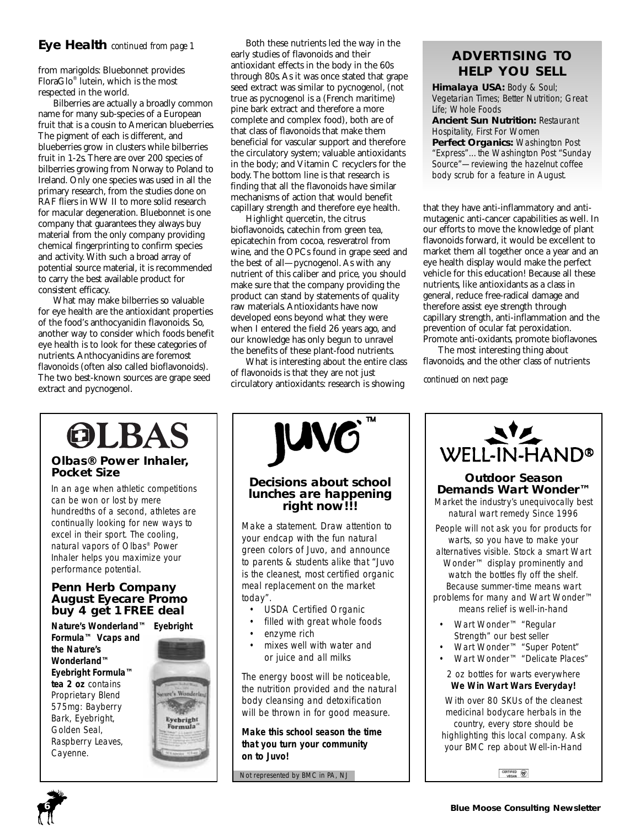# **Eye Health** *continued from page 1*

from marigolds: Bluebonnet provides FloraGlo® lutein, which is the most respected in the world.

Bilberries are actually a broadly common name for many sub-species of a European fruit that is a cousin to American blueberries. The pigment of each is different, and blueberries grow in clusters while bilberries fruit in 1-2s. There are over 200 species of bilberries growing from Norway to Poland to Ireland. Only one species was used in all the primary research, from the studies done on RAF fliers in WW II to more solid research for macular degeneration. Bluebonnet is one company that guarantees they always buy material from the only company providing chemical fingerprinting to confirm species and activity. With such a broad array of potential source material, it is recommended to carry the best available product for consistent efficacy.

What may make bilberries so valuable for eye health are the antioxidant properties of the food's anthocyanidin flavonoids. So, another way to consider which foods benefit eye health is to look for these categories of nutrients. Anthocyanidins are foremost flavonoids (often also called bioflavonoids). The two best-known sources are grape seed extract and pycnogenol.

Both these nutrients led the way in the early studies of flavonoids and their antioxidant effects in the body in the 60s through 80s. As it was once stated that grape seed extract was similar to pycnogenol, (not true as pycnogenol is a (French maritime) pine bark extract and therefore a more complete and complex food), both are of that class of flavonoids that make them beneficial for vascular support and therefore the circulatory system; valuable antioxidants in the body; and Vitamin C recyclers for the body. The bottom line is that research is finding that all the flavonoids have similar mechanisms of action that would benefit capillary strength and therefore eye health.

Highlight quercetin, the citrus bioflavonoids, catechin from green tea, epicatechin from cocoa, resveratrol from wine, and the OPCs found in grape seed and the best of all—pycnogenol. As with any nutrient of this caliber and price, you should make sure that the company providing the product can stand by statements of quality raw materials. Antioxidants have now developed eons beyond what they were when I entered the field 26 years ago, and our knowledge has only begun to unravel the benefits of these plant-food nutrients.

What is interesting about the entire class of flavonoids is that they are not just circulatory antioxidants: research is showing

# **ADVERTISING TO HELP YOU SELL**

**Himalaya USA:** *Body & Soul; Vegetarian Times; Better Nutrition; Great Life; Whole Foods*  **Ancient Sun Nutrition:** *Restaurant Hospitality, First For Women* **Perfect Organics:** *Washington Post "Express"*…the *Washington Post* "Sunday Source"—reviewing the hazelnut coffee

body scrub for a feature in August.

that they have anti-inflammatory and antimutagenic anti-cancer capabilities as well. In our efforts to move the knowledge of plant flavonoids forward, it would be excellent to market them all together once a year and an eye health display would make the perfect vehicle for this education! Because all these nutrients, like antioxidants as a class in general, reduce free-radical damage and therefore assist eye strength through capillary strength, anti-inflammation and the prevention of ocular fat peroxidation. Promote anti-oxidants, promote bioflavones.

The most interesting thing about flavonoids, and the other class of nutrients

*continued on next page*

# OLBAS

### **Olbas® Power Inhaler, Pocket Size**

In an age when athletic competitions can be won or lost by mere hundredths of a second, athletes are continually looking for new ways to excel in their sport. The cooling, natural vapors of Olbas® Power Inhaler helps you maximize your performance potential.

## **Penn Herb Company August Eyecare Promo buy 4 get 1FREE deal**

**Nature's Wonderland™ Eyebright Formula™ Vcaps and the Nature's Wonderland™ Eyebright Formula™ tea 2 oz** contains Proprietary Blend 575mg: Bayberry Bark, Eyebright, Golden Seal, Raspberry Leaves, Cayenne.





## **Decisions about school lunches are happening right now!!!**

Make a statement. Draw attention to your endcap with the fun natural green colors of Juvo, and announce to parents & students alike that "Juvo is the cleanest, most certified organic meal replacement on the market today".

- USDA Certified Organic
- filled with great whole foods
- enzyme rich
- mixes well with water and or juice and all milks

The energy boost will be noticeable, the nutrition provided and the natural body cleansing and detoxification will be thrown in for good measure.

*Make this school season the time that you turn your community on to Juvo!*

Not represented by BMC in PA, NJ



**Outdoor Season Demands Wart Wonder™** *Market the industry's unequivocally best natural wart remedy Since 1996*

People will not ask you for products for warts, so you have to make your alternatives visible. Stock a smart Wart Wonder<sup>™</sup> display prominently and watch the bottles fly off the shelf. Because summer-time means wart problems for many and Wart Wonder™ means relief is well-in-hand

- Wart Wonder™ "Regular Strength" our best seller
- Wart Wonder™ "Super Potent"
- Wart Wonder™ "Delicate Places"

#### 2 oz bottles for warts everywhere *We Win Wart Wars Everyday!*

With over 80 SKUs of the cleanest medicinal bodycare herbals in the country, every store should be highlighting this local company. Ask your BMC rep about Well-in-Hand

CERTIFIED O

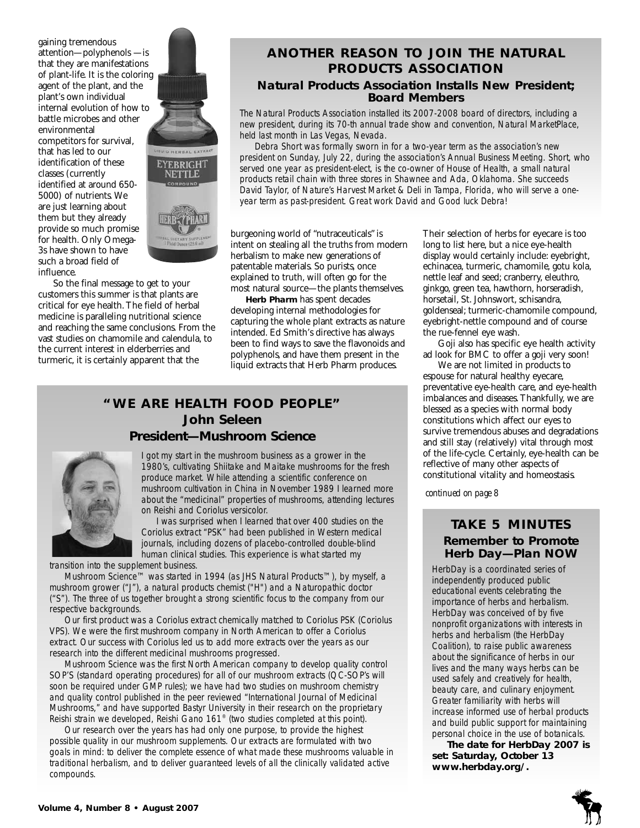gaining tremendous attention—polyphenols —is that they are manifestations of plant-life. It is the coloring agent of the plant, and the plant's own individual internal evolution of how to battle microbes and other environmental competitors for survival, that has led to our identification of these classes (currently identified at around 650- 5000) of nutrients. We are just learning about them but they already provide so much promise for health. Only Omega-3s have shown to have such a broad field of influence.



So the final message to get to your customers this summer is that plants are critical for eye health. The field of herbal medicine is paralleling nutritional science and reaching the same conclusions. From the vast studies on chamomile and calendula, to the current interest in elderberries and turmeric, it is certainly apparent that the

# **ANOTHER REASON TO JOIN THE NATURAL PRODUCTS ASSOCIATION**

## **Natural Products Association Installs New President; Board Members**

The Natural Products Association installed its 2007-2008 board of directors, including a new president, during its 70-th annual trade show and convention, Natural MarketPlace, held last month in Las Vegas, Nevada.

Debra Short was formally sworn in for a two-year term as the association's new president on Sunday, July 22, during the association's Annual Business Meeting. Short, who served one year as president-elect, is the co-owner of House of Health, a small natural products retail chain with three stores in Shawnee and Ada, Oklahoma. She succeeds David Taylor, of Nature's Harvest Market & Deli in Tampa, Florida, who will serve a oneyear term as past-president. Great work David and Good luck Debra!

burgeoning world of "nutraceuticals" is intent on stealing all the truths from modern herbalism to make new generations of patentable materials. So purists, once explained to truth, will often go for the most natural source—the plants themselves.

**Herb Pharm** has spent decades developing internal methodologies for capturing the whole plant extracts as nature intended. Ed Smith's directive has always been to find ways to save the flavonoids and polyphenols, and have them present in the liquid extracts that Herb Pharm produces.

# **"WE ARE HEALTH FOOD PEOPLE" John Seleen** *President—Mushroom Science*



I got my start in the mushroom business as a grower in the 1980's, cultivating Shiitake and Maitake mushrooms for the fresh produce market. While attending a scientific conference on mushroom cultivation in China in November 1989 I learned more about the "medicinal" properties of mushrooms, attending lectures on Reishi and Coriolus versicolor.

I was surprised when I learned that over 400 studies on the Coriolus extract "PSK" had been published in Western medical journals, including dozens of placebo-controlled double-blind human clinical studies. This experience is what started my

transition into the supplement business.

Mushroom Science™ was started in 1994 (as JHS Natural Products™), by myself, a mushroom grower ("J"), a natural products chemist ("H") and a Naturopathic doctor ("S"). The three of us together brought a strong scientific focus to the company from our respective backgrounds.

Our first product was a Coriolus extract chemically matched to Coriolus PSK (Coriolus VPS). We were the first mushroom company in North American to offer a Coriolus extract. Our success with Coriolus led us to add more extracts over the years as our research into the different medicinal mushrooms progressed.

Mushroom Science was the first North American company to develop quality control SOP'S (standard operating procedures) for all of our mushroom extracts (QC-SOP's will soon be required under GMP rules); we have had two studies on mushroom chemistry and quality control published in the peer reviewed "International Journal of Medicinal Mushrooms," and have supported Bastyr University in their research on the proprietary Reishi strain we developed, Reishi Gano 161® (two studies completed at this point).

Our research over the years has had only one purpose, to provide the highest possible quality in our mushroom supplements. Our extracts are formulated with two goals in mind: to deliver the complete essence of what made these mushrooms valuable in traditional herbalism, and to deliver guaranteed levels of all the clinically validated active compounds.

Their selection of herbs for eyecare is too long to list here, but a nice eye-health display would certainly include: eyebright, echinacea, turmeric, chamomile, gotu kola, nettle leaf and seed; cranberry, eleuthro, ginkgo, green tea, hawthorn, horseradish, horsetail, St. Johnswort, schisandra, goldenseal; turmeric-chamomile compound, eyebright-nettle compound and of course the rue-fennel eye wash.

Goji also has specific eye health activity ad look for BMC to offer a goji very soon!

We are not limited in products to espouse for natural healthy eyecare, preventative eye-health care, and eye-health imbalances and diseases. Thankfully, we are blessed as a species with normal body constitutions which affect our eyes to survive tremendous abuses and degradations and still stay (relatively) vital through most of the life-cycle. Certainly, eye-health can be reflective of many other aspects of constitutional vitality and homeostasis.

*continued on page 8*

# **TAKE 5 MINUTES Remember to Promote Herb Day—Plan NOW**

HerbDay is a coordinated series of independently produced public educational events celebrating the importance of herbs and herbalism. HerbDay was conceived of by five nonprofit organizations with interests in herbs and herbalism (the HerbDay Coalition), to raise public awareness about the significance of herbs in our lives and the many ways herbs can be used safely and creatively for health, beauty care, and culinary enjoyment. Greater familiarity with herbs will increase informed use of herbal products and build public support for maintaining personal choice in the use of botanicals.

**The date for HerbDay 2007 is set: Saturday, October 13 www.herbday.org/.**